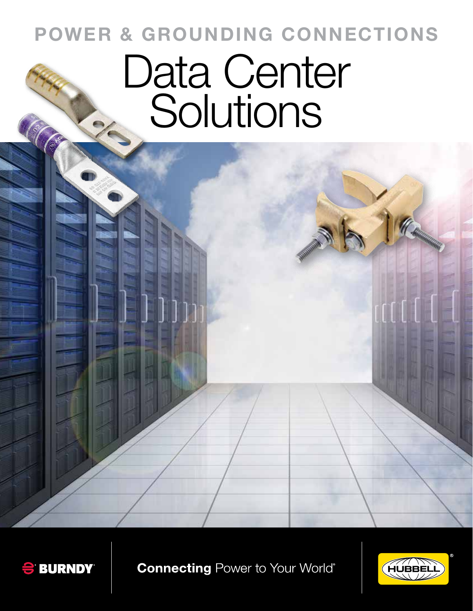# **POWER & GROUNDING CONNECTIONS**

# Data Center Solutions



**Connecting Power to Your World®** 

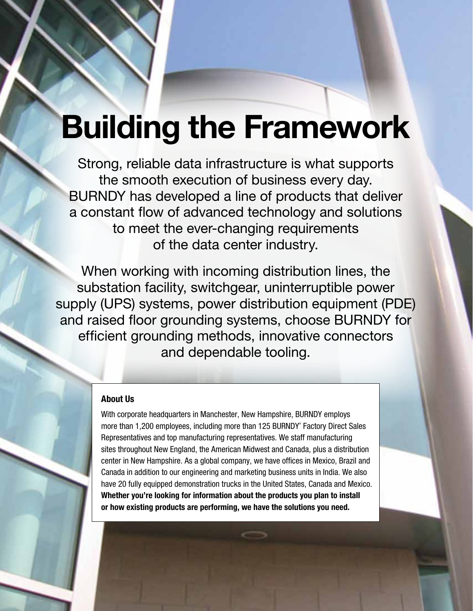# **Building the Framework**

Strong, reliable data infrastructure is what supports the smooth execution of business every day. BURNDY has developed a line of products that deliver a constant flow of advanced technology and solutions to meet the ever-changing requirements of the data center industry.

When working with incoming distribution lines, the substation facility, switchgear, uninterruptible power supply (UPS) systems, power distribution equipment (PDE) and raised floor grounding systems, choose BURNDY for efficient grounding methods, innovative connectors and dependable tooling.

#### **About Us**

With corporate headquarters in Manchester, New Hampshire, BURNDY employs more than 1,200 employees, including more than 125 BURNDY® Factory Direct Sales Representatives and top manufacturing representatives. We staff manufacturing sites throughout New England, the American Midwest and Canada, plus a distribution center in New Hampshire. As a global company, we have offices in Mexico, Brazil and Canada in addition to our engineering and marketing business units in India. We also have 20 fully equipped demonstration trucks in the United States, Canada and Mexico. **Whether you're looking for information about the products you plan to install or how existing products are performing, we have the solutions you need.**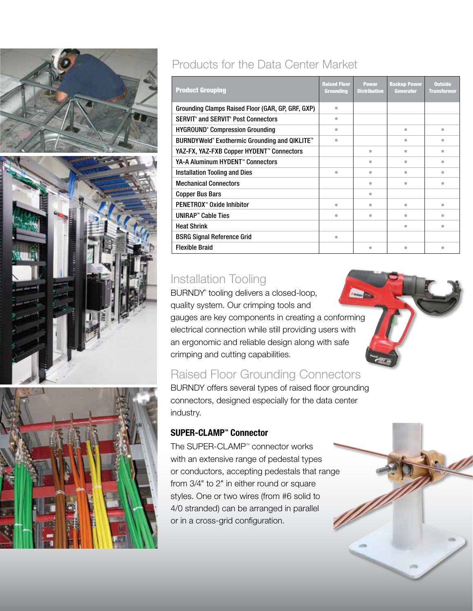



# Products for the Data Center Market

| <b>Product Grouping</b>                                   | <b>Raised Floor</b><br>Grounding | <b>Power</b><br><b>Distribution</b> | <b>Backup Power</b><br><b>Generator</b> | <b>Outside</b><br><b>Transformer</b> |
|-----------------------------------------------------------|----------------------------------|-------------------------------------|-----------------------------------------|--------------------------------------|
| Grounding Clamps Raised Floor (GAR, GP, GRF, GXP)         | $\bullet$                        |                                     |                                         |                                      |
| <b>SERVIT</b> and SERVIT Post Connectors                  | $\bullet$                        |                                     |                                         |                                      |
| <b>HYGROUND® Compression Grounding</b>                    | $\bullet$                        |                                     | $\bullet$                               | $\qquad \qquad \bullet$              |
| BURNDYWeld® Exothermic Grounding and QIKLITE <sup>®</sup> | $\triangle$                      |                                     | $\triangle$                             | ۰                                    |
| YAZ-FX, YAZ-FXB Copper HYDENT" Connectors                 |                                  | $\bullet$                           | $\bullet$                               | $\qquad \qquad \bullet$              |
| YA-A Aluminum HYDENT™ Connectors                          |                                  | $\bullet$                           | $\qquad \qquad \blacksquare$            | $\bullet$                            |
| Installation Tooling and Dies                             | $\bullet$                        | $\bullet$                           | $\bullet$                               | $\qquad \qquad \bullet$              |
| <b>Mechanical Connectors</b>                              |                                  | ۰                                   | $\bullet$                               | $\qquad \qquad \blacksquare$         |
| <b>Copper Bus Bars</b>                                    |                                  | $\bullet$                           |                                         |                                      |
| PENETROX <sup>**</sup> Oxide Inhibitor                    | $\bullet$                        | $\bullet$                           | $\qquad \qquad \bullet$                 | $\qquad \qquad \bullet$              |
| <b>UNIRAP™ Cable Ties</b>                                 | $\bullet$                        | $\bullet$                           | $\bullet$                               | ۰                                    |
| <b>Heat Shrink</b>                                        |                                  |                                     | $\qquad \qquad \blacksquare$            | $\bullet$                            |
| <b>BSRG Signal Reference Grid</b>                         | $\bullet$                        |                                     |                                         |                                      |
| <b>Flexible Braid</b>                                     |                                  | ۰                                   | ٠                                       | ۵                                    |

# Installation Tooling

BURNDY® tooling delivers a closed-loop, quality system. Our crimping tools and gauges are key components in creating a conforming electrical connection while still providing users with an ergonomic and reliable design along with safe crimping and cutting capabilities.

# Raised Floor Grounding Connectors

BURNDY offers several types of raised floor grounding connectors, designed especially for the data center industry.

#### **SUPER-CLAMP<sup>™</sup> Connector**

The SUPER-CLAMP<sup>™</sup> connector works with an extensive range of pedestal types or conductors, accepting pedestals that range from 3/4" to 2" in either round or square styles. One or two wires (from #6 solid to 4/0 stranded) can be arranged in parallel or in a cross-grid configuration.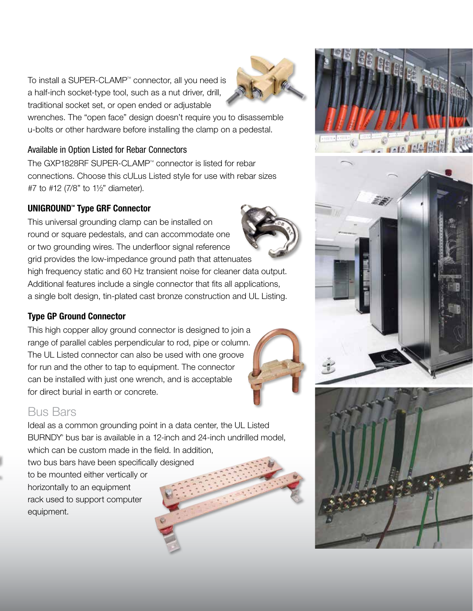To install a SUPER-CLAMP<sup>™</sup> connector, all you need is a half-inch socket-type tool, such as a nut driver, drill, traditional socket set, or open ended or adjustable

wrenches. The "open face" design doesn't require you to disassemble u-bolts or other hardware before installing the clamp on a pedestal.

#### Available in Option Listed for Rebar Connectors

The GXP1828RF SUPER-CLAMP<sup>™</sup> connector is listed for rebar connections. Choose this cULus Listed style for use with rebar sizes #7 to #12 (7/8" to 1½" diameter).

#### UNIGROUND<sup>"</sup> Type GRF Connector

This universal grounding clamp can be installed on round or square pedestals, and can accommodate one or two grounding wires. The underfloor signal reference grid provides the low-impedance ground path that attenuates

high frequency static and 60 Hz transient noise for cleaner data output. Additional features include a single connector that fits all applications, a single bolt design, tin-plated cast bronze construction and UL Listing.

#### **Type GP Ground Connector**

This high copper alloy ground connector is designed to join a range of parallel cables perpendicular to rod, pipe or column. The UL Listed connector can also be used with one groove for run and the other to tap to equipment. The connector can be installed with just one wrench, and is acceptable for direct burial in earth or concrete.

### Bus Bars

Ideal as a common grounding point in a data center, the UL Listed BURNDY® bus bar is available in a 12-inch and 24-inch undrilled model, which can be custom made in the field. In addition, two bus bars have been specifically designed

to be mounted either vertically or horizontally to an equipment rack used to support computer equipment.









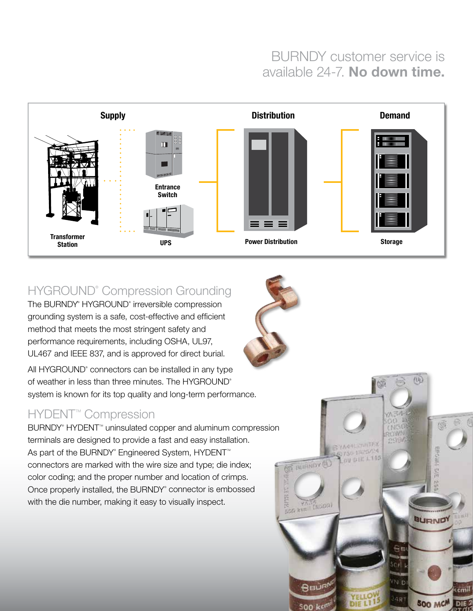# BURNDY customer service is available 24-7. **No down time.**



# HYGROUND<sup>®</sup> Compression Grounding

The BURNDY® HYGROUND® irreversible compression grounding system is a safe, cost-effective and efficient method that meets the most stringent safety and performance requirements, including OSHA, UL97, UL467 and IEEE 837, and is approved for direct burial.

All HYGROUND® connectors can be installed in any type of weather in less than three minutes. The HYGROUND® system is known for its top quality and long-term performance.

## HYDENT<sup>™</sup> Compression

BURNDY<sup>®</sup> HYDENT<sup>™</sup> uninsulated copper and aluminum compression terminals are designed to provide a fast and easy installation. As part of the BURNDY® Engineered System, HYDENT™ connectors are marked with the wire size and type; die index; color coding; and the proper number and location of crimps. Once properly installed, the BURNDY® connector is embossed with the die number, making it easy to visually inspect.